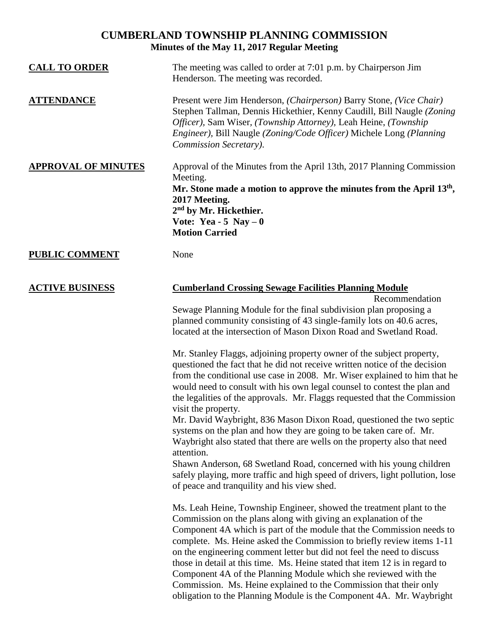# **CUMBERLAND TOWNSHIP PLANNING COMMISSION Minutes of the May 11, 2017 Regular Meeting**

| <b>CALL TO ORDER</b>       | The meeting was called to order at 7:01 p.m. by Chairperson Jim<br>Henderson. The meeting was recorded.                                                                                                                                                                                                                                                                                                                                                                                                                                                                                                                                                                                                                                                                                                                                                           |
|----------------------------|-------------------------------------------------------------------------------------------------------------------------------------------------------------------------------------------------------------------------------------------------------------------------------------------------------------------------------------------------------------------------------------------------------------------------------------------------------------------------------------------------------------------------------------------------------------------------------------------------------------------------------------------------------------------------------------------------------------------------------------------------------------------------------------------------------------------------------------------------------------------|
| <u>ATTENDANCE</u>          | Present were Jim Henderson, (Chairperson) Barry Stone, (Vice Chair)<br>Stephen Tallman, Dennis Hickethier, Kenny Caudill, Bill Naugle (Zoning<br>Officer), Sam Wiser, (Township Attorney), Leah Heine, (Township<br>Engineer), Bill Naugle (Zoning/Code Officer) Michele Long (Planning<br>Commission Secretary).                                                                                                                                                                                                                                                                                                                                                                                                                                                                                                                                                 |
| <b>APPROVAL OF MINUTES</b> | Approval of the Minutes from the April 13th, 2017 Planning Commission<br>Meeting.<br>Mr. Stone made a motion to approve the minutes from the April $13th$ ,<br>2017 Meeting.<br>2 <sup>nd</sup> by Mr. Hickethier.<br>Vote: Yea - 5 Nay $-0$<br><b>Motion Carried</b>                                                                                                                                                                                                                                                                                                                                                                                                                                                                                                                                                                                             |
| <b>PUBLIC COMMENT</b>      | None                                                                                                                                                                                                                                                                                                                                                                                                                                                                                                                                                                                                                                                                                                                                                                                                                                                              |
| <b>ACTIVE BUSINESS</b>     | <b>Cumberland Crossing Sewage Facilities Planning Module</b>                                                                                                                                                                                                                                                                                                                                                                                                                                                                                                                                                                                                                                                                                                                                                                                                      |
|                            | Recommendation<br>Sewage Planning Module for the final subdivision plan proposing a<br>planned community consisting of 43 single-family lots on 40.6 acres,<br>located at the intersection of Mason Dixon Road and Swetland Road.                                                                                                                                                                                                                                                                                                                                                                                                                                                                                                                                                                                                                                 |
|                            | Mr. Stanley Flaggs, adjoining property owner of the subject property,<br>questioned the fact that he did not receive written notice of the decision<br>from the conditional use case in 2008. Mr. Wiser explained to him that he<br>would need to consult with his own legal counsel to contest the plan and<br>the legalities of the approvals. Mr. Flaggs requested that the Commission<br>visit the property.<br>Mr. David Waybright, 836 Mason Dixon Road, questioned the two septic<br>systems on the plan and how they are going to be taken care of. Mr.<br>Waybright also stated that there are wells on the property also that need<br>attention.<br>Shawn Anderson, 68 Swetland Road, concerned with his young children<br>safely playing, more traffic and high speed of drivers, light pollution, lose<br>of peace and tranquility and his view shed. |
|                            | Ms. Leah Heine, Township Engineer, showed the treatment plant to the<br>Commission on the plans along with giving an explanation of the<br>Component 4A which is part of the module that the Commission needs to<br>complete. Ms. Heine asked the Commission to briefly review items 1-11<br>on the engineering comment letter but did not feel the need to discuss<br>those in detail at this time. Ms. Heine stated that item 12 is in regard to<br>Component 4A of the Planning Module which she reviewed with the<br>Commission. Ms. Heine explained to the Commission that their only                                                                                                                                                                                                                                                                        |

obligation to the Planning Module is the Component 4A. Mr. Waybright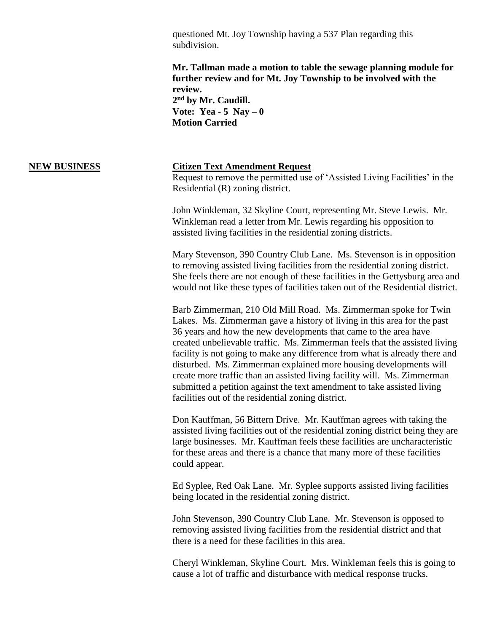questioned Mt. Joy Township having a 537 Plan regarding this subdivision.

**Mr. Tallman made a motion to table the sewage planning module for further review and for Mt. Joy Township to be involved with the review.**

**2 nd by Mr. Caudill. Vote: Yea - 5 Nay – 0 Motion Carried**

## **NEW BUSINESS Citizen Text Amendment Request**

Request to remove the permitted use of 'Assisted Living Facilities' in the Residential (R) zoning district.

John Winkleman, 32 Skyline Court, representing Mr. Steve Lewis. Mr. Winkleman read a letter from Mr. Lewis regarding his opposition to assisted living facilities in the residential zoning districts.

Mary Stevenson, 390 Country Club Lane. Ms. Stevenson is in opposition to removing assisted living facilities from the residential zoning district. She feels there are not enough of these facilities in the Gettysburg area and would not like these types of facilities taken out of the Residential district.

Barb Zimmerman, 210 Old Mill Road. Ms. Zimmerman spoke for Twin Lakes. Ms. Zimmerman gave a history of living in this area for the past 36 years and how the new developments that came to the area have created unbelievable traffic. Ms. Zimmerman feels that the assisted living facility is not going to make any difference from what is already there and disturbed. Ms. Zimmerman explained more housing developments will create more traffic than an assisted living facility will. Ms. Zimmerman submitted a petition against the text amendment to take assisted living facilities out of the residential zoning district.

Don Kauffman, 56 Bittern Drive. Mr. Kauffman agrees with taking the assisted living facilities out of the residential zoning district being they are large businesses. Mr. Kauffman feels these facilities are uncharacteristic for these areas and there is a chance that many more of these facilities could appear.

Ed Syplee, Red Oak Lane. Mr. Syplee supports assisted living facilities being located in the residential zoning district.

John Stevenson, 390 Country Club Lane. Mr. Stevenson is opposed to removing assisted living facilities from the residential district and that there is a need for these facilities in this area.

Cheryl Winkleman, Skyline Court. Mrs. Winkleman feels this is going to cause a lot of traffic and disturbance with medical response trucks.